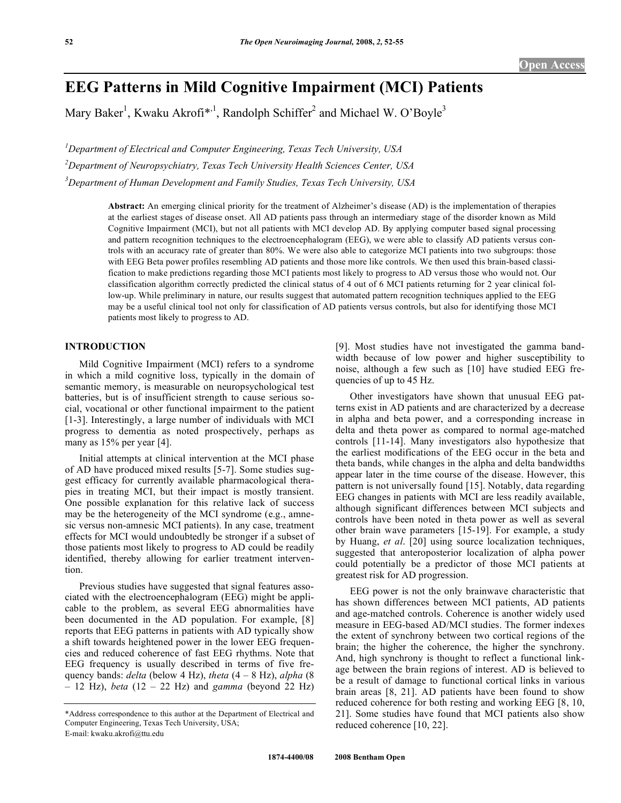# **EEG Patterns in Mild Cognitive Impairment (MCI) Patients**

Mary Baker<sup>1</sup>, Kwaku Akrofi<sup>\*,1</sup>, Randolph Schiffer<sup>2</sup> and Michael W. O'Boyle<sup>3</sup>

*1 Department of Electrical and Computer Engineering, Texas Tech University, USA 2 Department of Neuropsychiatry, Texas Tech University Health Sciences Center, USA 3 Department of Human Development and Family Studies, Texas Tech University, USA* 

> **Abstract:** An emerging clinical priority for the treatment of Alzheimer's disease (AD) is the implementation of therapies at the earliest stages of disease onset. All AD patients pass through an intermediary stage of the disorder known as Mild Cognitive Impairment (MCI), but not all patients with MCI develop AD. By applying computer based signal processing and pattern recognition techniques to the electroencephalogram (EEG), we were able to classify AD patients versus controls with an accuracy rate of greater than 80%. We were also able to categorize MCI patients into two subgroups: those with EEG Beta power profiles resembling AD patients and those more like controls. We then used this brain-based classification to make predictions regarding those MCI patients most likely to progress to AD versus those who would not. Our classification algorithm correctly predicted the clinical status of 4 out of 6 MCI patients returning for 2 year clinical follow-up. While preliminary in nature, our results suggest that automated pattern recognition techniques applied to the EEG may be a useful clinical tool not only for classification of AD patients versus controls, but also for identifying those MCI patients most likely to progress to AD.

## **INTRODUCTION**

 Mild Cognitive Impairment (MCI) refers to a syndrome in which a mild cognitive loss, typically in the domain of semantic memory, is measurable on neuropsychological test batteries, but is of insufficient strength to cause serious social, vocational or other functional impairment to the patient [1-3]. Interestingly, a large number of individuals with MCI progress to dementia as noted prospectively, perhaps as many as 15% per year [4].

 Initial attempts at clinical intervention at the MCI phase of AD have produced mixed results [5-7]. Some studies suggest efficacy for currently available pharmacological therapies in treating MCI, but their impact is mostly transient. One possible explanation for this relative lack of success may be the heterogeneity of the MCI syndrome (e.g., amnesic versus non-amnesic MCI patients). In any case, treatment effects for MCI would undoubtedly be stronger if a subset of those patients most likely to progress to AD could be readily identified, thereby allowing for earlier treatment intervention.

 Previous studies have suggested that signal features associated with the electroencephalogram (EEG) might be applicable to the problem, as several EEG abnormalities have been documented in the AD population. For example, [8] reports that EEG patterns in patients with AD typically show a shift towards heightened power in the lower EEG frequencies and reduced coherence of fast EEG rhythms. Note that EEG frequency is usually described in terms of five frequency bands: *delta* (below 4 Hz), *theta* (4 – 8 Hz), *alpha* (8 – 12 Hz), *beta* (12 – 22 Hz) and *gamma* (beyond 22 Hz) [9]. Most studies have not investigated the gamma bandwidth because of low power and higher susceptibility to noise, although a few such as [10] have studied EEG frequencies of up to 45 Hz.

 Other investigators have shown that unusual EEG patterns exist in AD patients and are characterized by a decrease in alpha and beta power, and a corresponding increase in delta and theta power as compared to normal age-matched controls [11-14]. Many investigators also hypothesize that the earliest modifications of the EEG occur in the beta and theta bands, while changes in the alpha and delta bandwidths appear later in the time course of the disease. However, this pattern is not universally found [15]. Notably, data regarding EEG changes in patients with MCI are less readily available, although significant differences between MCI subjects and controls have been noted in theta power as well as several other brain wave parameters [15-19]. For example, a study by Huang, *et al*. [20] using source localization techniques, suggested that anteroposterior localization of alpha power could potentially be a predictor of those MCI patients at greatest risk for AD progression.

 EEG power is not the only brainwave characteristic that has shown differences between MCI patients, AD patients and age-matched controls. Coherence is another widely used measure in EEG-based AD/MCI studies. The former indexes the extent of synchrony between two cortical regions of the brain; the higher the coherence, the higher the synchrony. And, high synchrony is thought to reflect a functional linkage between the brain regions of interest. AD is believed to be a result of damage to functional cortical links in various brain areas [8, 21]. AD patients have been found to show reduced coherence for both resting and working EEG [8, 10, 21]. Some studies have found that MCI patients also show reduced coherence [10, 22].

<sup>\*</sup>Address correspondence to this author at the Department of Electrical and Computer Engineering, Texas Tech University, USA; E-mail: kwaku.akrofi@ttu.edu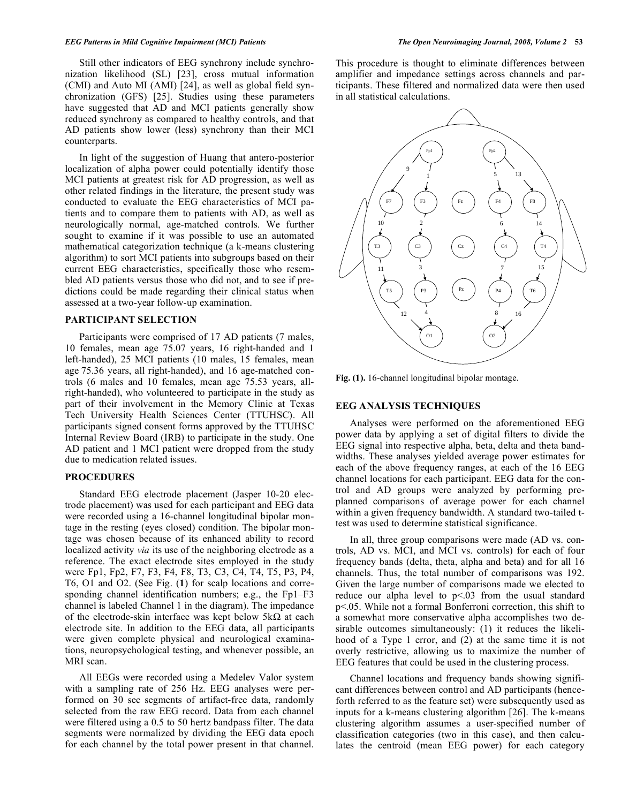Still other indicators of EEG synchrony include synchronization likelihood (SL) [23], cross mutual information (CMI) and Auto MI (AMI) [24], as well as global field synchronization (GFS) [25]. Studies using these parameters have suggested that AD and MCI patients generally show reduced synchrony as compared to healthy controls, and that AD patients show lower (less) synchrony than their MCI counterparts.

 In light of the suggestion of Huang that antero-posterior localization of alpha power could potentially identify those MCI patients at greatest risk for AD progression, as well as other related findings in the literature, the present study was conducted to evaluate the EEG characteristics of MCI patients and to compare them to patients with AD, as well as neurologically normal, age-matched controls. We further sought to examine if it was possible to use an automated mathematical categorization technique (a k-means clustering algorithm) to sort MCI patients into subgroups based on their current EEG characteristics, specifically those who resembled AD patients versus those who did not, and to see if predictions could be made regarding their clinical status when assessed at a two-year follow-up examination.

## **PARTICIPANT SELECTION**

 Participants were comprised of 17 AD patients (7 males, 10 females, mean age 75.07 years, 16 right-handed and 1 left-handed), 25 MCI patients (10 males, 15 females, mean age 75.36 years, all right-handed), and 16 age-matched controls (6 males and 10 females, mean age 75.53 years, allright-handed), who volunteered to participate in the study as part of their involvement in the Memory Clinic at Texas Tech University Health Sciences Center (TTUHSC). All participants signed consent forms approved by the TTUHSC Internal Review Board (IRB) to participate in the study. One AD patient and 1 MCI patient were dropped from the study due to medication related issues.

### **PROCEDURES**

 Standard EEG electrode placement (Jasper 10-20 electrode placement) was used for each participant and EEG data were recorded using a 16-channel longitudinal bipolar montage in the resting (eyes closed) condition. The bipolar montage was chosen because of its enhanced ability to record localized activity *via* its use of the neighboring electrode as a reference. The exact electrode sites employed in the study were Fp1, Fp2, F7, F3, F4, F8, T3, C3, C4, T4, T5, P3, P4, T6, O1 and O2. (See Fig. (**1**) for scalp locations and corresponding channel identification numbers; e.g., the Fp1–F3 channel is labeled Channel 1 in the diagram). The impedance of the electrode-skin interface was kept below  $5k\Omega$  at each electrode site. In addition to the EEG data, all participants were given complete physical and neurological examinations, neuropsychological testing, and whenever possible, an MRI scan.

 All EEGs were recorded using a Medelev Valor system with a sampling rate of 256 Hz. EEG analyses were performed on 30 sec segments of artifact-free data, randomly selected from the raw EEG record. Data from each channel were filtered using a 0.5 to 50 hertz bandpass filter. The data segments were normalized by dividing the EEG data epoch for each channel by the total power present in that channel.

This procedure is thought to eliminate differences between amplifier and impedance settings across channels and participants. These filtered and normalized data were then used in all statistical calculations.



**Fig. (1).** 16-channel longitudinal bipolar montage.

#### **EEG ANALYSIS TECHNIQUES**

 Analyses were performed on the aforementioned EEG power data by applying a set of digital filters to divide the EEG signal into respective alpha, beta, delta and theta bandwidths. These analyses yielded average power estimates for each of the above frequency ranges, at each of the 16 EEG channel locations for each participant. EEG data for the control and AD groups were analyzed by performing preplanned comparisons of average power for each channel within a given frequency bandwidth. A standard two-tailed ttest was used to determine statistical significance.

 In all, three group comparisons were made (AD vs. controls, AD vs. MCI, and MCI vs. controls) for each of four frequency bands (delta, theta, alpha and beta) and for all 16 channels. Thus, the total number of comparisons was 192. Given the large number of comparisons made we elected to reduce our alpha level to p<.03 from the usual standard p<.05. While not a formal Bonferroni correction, this shift to a somewhat more conservative alpha accomplishes two desirable outcomes simultaneously: (1) it reduces the likelihood of a Type 1 error, and (2) at the same time it is not overly restrictive, allowing us to maximize the number of EEG features that could be used in the clustering process.

 Channel locations and frequency bands showing significant differences between control and AD participants (henceforth referred to as the feature set) were subsequently used as inputs for a k-means clustering algorithm [26]. The k-means clustering algorithm assumes a user-specified number of classification categories (two in this case), and then calculates the centroid (mean EEG power) for each category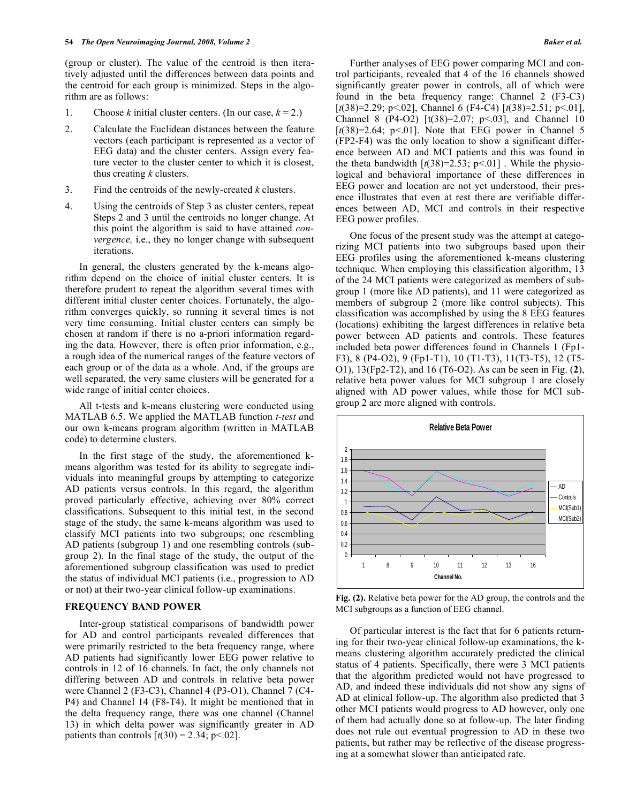(group or cluster). The value of the centroid is then iteratively adjusted until the differences between data points and the centroid for each group is minimized. Steps in the algorithm are as follows:

- 1. Choose *k* initial cluster centers. (In our case,  $k = 2$ .)
- 2. Calculate the Euclidean distances between the feature vectors (each participant is represented as a vector of EEG data) and the cluster centers. Assign every feature vector to the cluster center to which it is closest, thus creating *k* clusters.
- 3. Find the centroids of the newly-created *k* clusters.
- 4. Using the centroids of Step 3 as cluster centers, repeat Steps 2 and 3 until the centroids no longer change. At this point the algorithm is said to have attained *convergence,* i.e., they no longer change with subsequent iterations.

 In general, the clusters generated by the k-means algorithm depend on the choice of initial cluster centers. It is therefore prudent to repeat the algorithm several times with different initial cluster center choices. Fortunately, the algorithm converges quickly, so running it several times is not very time consuming. Initial cluster centers can simply be chosen at random if there is no a-priori information regarding the data. However, there is often prior information, e.g., a rough idea of the numerical ranges of the feature vectors of each group or of the data as a whole. And, if the groups are well separated, the very same clusters will be generated for a wide range of initial center choices.

 All t-tests and k-means clustering were conducted using MATLAB 6.5. We applied the MATLAB function *t-test a*nd our own k-means program algorithm (written in MATLAB code) to determine clusters.

 In the first stage of the study, the aforementioned kmeans algorithm was tested for its ability to segregate individuals into meaningful groups by attempting to categorize AD patients versus controls. In this regard, the algorithm proved particularly effective, achieving over 80% correct classifications. Subsequent to this initial test, in the second stage of the study, the same k-means algorithm was used to classify MCI patients into two subgroups; one resembling AD patients (subgroup 1) and one resembling controls (subgroup 2). In the final stage of the study, the output of the aforementioned subgroup classification was used to predict the status of individual MCI patients (i.e., progression to AD or not) at their two-year clinical follow-up examinations.

#### **FREQUENCY BAND POWER**

 Inter-group statistical comparisons of bandwidth power for AD and control participants revealed differences that were primarily restricted to the beta frequency range, where AD patients had significantly lower EEG power relative to controls in 12 of 16 channels. In fact, the only channels not differing between AD and controls in relative beta power were Channel 2 (F3-C3), Channel 4 (P3-O1), Channel 7 (C4- P4) and Channel 14 (F8-T4). It might be mentioned that in the delta frequency range, there was one channel (Channel 13) in which delta power was significantly greater in AD patients than controls  $[t(30) = 2.34; p < .02]$ .

 Further analyses of EEG power comparing MCI and control participants, revealed that 4 of the 16 channels showed significantly greater power in controls, all of which were found in the beta frequency range: Channel 2 (F3-C3) [*t*(38)=2.29; p<.02], Channel 6 (F4-C4) [*t*(38)=2.51; p<.01], Channel 8 (P4-O2) [t(38)=2.07; p<.03], and Channel 10  $[t(38)=2.64; p<0.01]$ . Note that EEG power in Channel 5 (FP2-F4) was the only location to show a significant difference between AD and MCI patients and this was found in the theta bandwidth  $[t(38)=2.53; p<.01]$ . While the physiological and behavioral importance of these differences in EEG power and location are not yet understood, their presence illustrates that even at rest there are verifiable differences between AD, MCI and controls in their respective EEG power profiles.

 One focus of the present study was the attempt at categorizing MCI patients into two subgroups based upon their EEG profiles using the aforementioned k-means clustering technique. When employing this classification algorithm, 13 of the 24 MCI patients were categorized as members of subgroup 1 (more like AD patients), and 11 were categorized as members of subgroup 2 (more like control subjects). This classification was accomplished by using the 8 EEG features (locations) exhibiting the largest differences in relative beta power between AD patients and controls. These features included beta power differences found in Channels 1 (Fp1- F3), 8 (P4-O2), 9 (Fp1-T1), 10 (T1-T3), 11(T3-T5), 12 (T5- O1), 13(Fp2-T2), and 16 (T6-O2). As can be seen in Fig. (**2**), relative beta power values for MCI subgroup 1 are closely aligned with AD power values, while those for MCI subgroup 2 are more aligned with controls.



**Fig. (2).** Relative beta power for the AD group, the controls and the MCI subgroups as a function of EEG channel.

 Of particular interest is the fact that for 6 patients returning for their two-year clinical follow-up examinations, the kmeans clustering algorithm accurately predicted the clinical status of 4 patients. Specifically, there were 3 MCI patients that the algorithm predicted would not have progressed to AD, and indeed these individuals did not show any signs of AD at clinical follow-up. The algorithm also predicted that 3 other MCI patients would progress to AD however, only one of them had actually done so at follow-up. The later finding does not rule out eventual progression to AD in these two patients, but rather may be reflective of the disease progressing at a somewhat slower than anticipated rate.